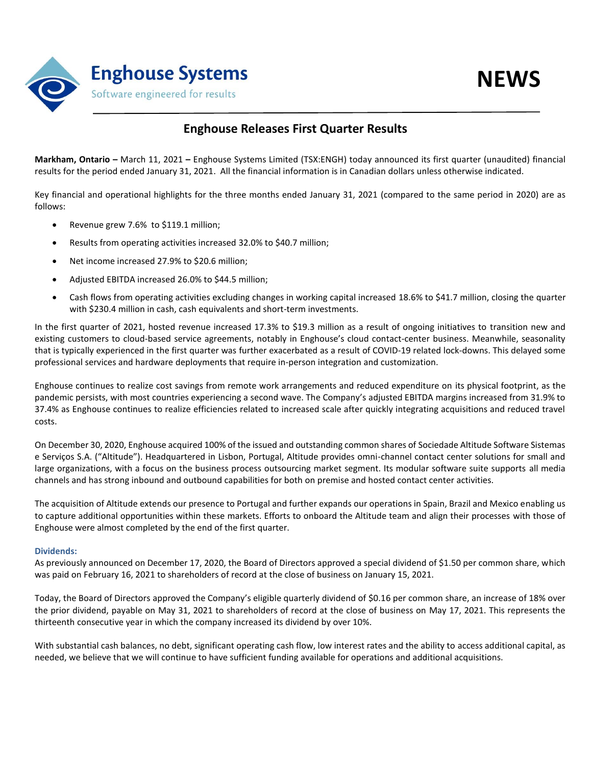

## **Enghouse Releases First Quarter Results**

**Markham, Ontario –** March 11, 2021 **–** Enghouse Systems Limited (TSX:ENGH) today announced its first quarter (unaudited) financial results for the period ended January 31, 2021. All the financial information is in Canadian dollars unless otherwise indicated.

Key financial and operational highlights for the three months ended January 31, 2021 (compared to the same period in 2020) are as follows:

- Revenue grew 7.6% to \$119.1 million;
- Results from operating activities increased 32.0% to \$40.7 million;
- Net income increased 27.9% to \$20.6 million;
- Adjusted EBITDA increased 26.0% to \$44.5 million;
- Cash flows from operating activities excluding changes in working capital increased 18.6% to \$41.7 million, closing the quarter with \$230.4 million in cash, cash equivalents and short-term investments.

In the first quarter of 2021, hosted revenue increased 17.3% to \$19.3 million as a result of ongoing initiatives to transition new and existing customers to cloud-based service agreements, notably in Enghouse's cloud contact-center business. Meanwhile, seasonality that is typically experienced in the first quarter was further exacerbated as a result of COVID-19 related lock-downs. This delayed some professional services and hardware deployments that require in-person integration and customization.

Enghouse continues to realize cost savings from remote work arrangements and reduced expenditure on its physical footprint, as the pandemic persists, with most countries experiencing a second wave. The Company's adjusted EBITDA margins increased from 31.9% to 37.4% as Enghouse continues to realize efficiencies related to increased scale after quickly integrating acquisitions and reduced travel costs.

On December 30, 2020, Enghouse acquired 100% of the issued and outstanding common shares of Sociedade Altitude Software Sistemas e Serviços S.A. ("Altitude"). Headquartered in Lisbon, Portugal, Altitude provides omni-channel contact center solutions for small and large organizations, with a focus on the business process outsourcing market segment. Its modular software suite supports all media channels and has strong inbound and outbound capabilities for both on premise and hosted contact center activities.

The acquisition of Altitude extends our presence to Portugal and further expands our operations in Spain, Brazil and Mexico enabling us to capture additional opportunities within these markets. Efforts to onboard the Altitude team and align their processes with those of Enghouse were almost completed by the end of the first quarter.

### **Dividends:**

As previously announced on December 17, 2020, the Board of Directors approved a special dividend of \$1.50 per common share, which was paid on February 16, 2021 to shareholders of record at the close of business on January 15, 2021.

Today, the Board of Directors approved the Company's eligible quarterly dividend of \$0.16 per common share, an increase of 18% over the prior dividend, payable on May 31, 2021 to shareholders of record at the close of business on May 17, 2021. This represents the thirteenth consecutive year in which the company increased its dividend by over 10%.

With substantial cash balances, no debt, significant operating cash flow, low interest rates and the ability to access additional capital, as needed, we believe that we will continue to have sufficient funding available for operations and additional acquisitions.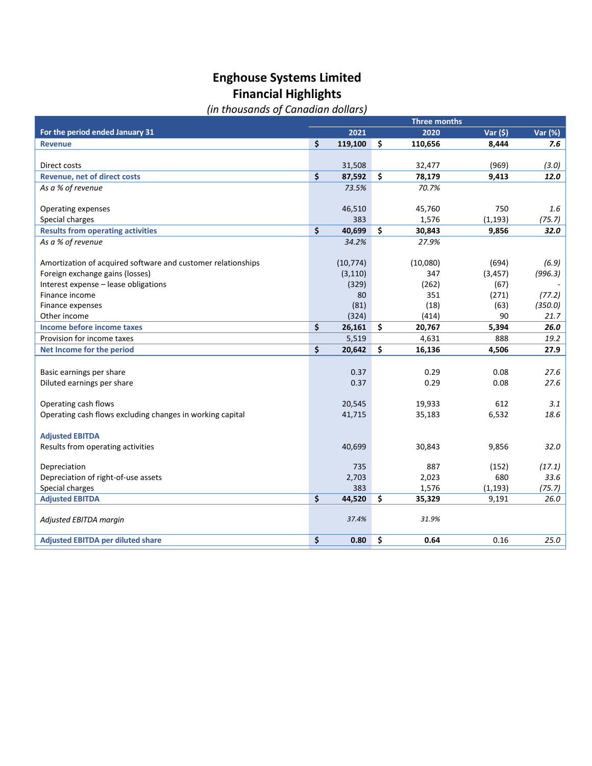# **Enghouse Systems Limited Financial Highlights**

# *(in thousands of Canadian dollars)*

|                                                              | <b>Three months</b> |              |     |          |              |         |  |
|--------------------------------------------------------------|---------------------|--------------|-----|----------|--------------|---------|--|
| For the period ended January 31                              |                     | 2021         |     | 2020     | Var $(5)$    | Var (%) |  |
| <b>Revenue</b>                                               | \$                  | 119,100      | \$  | 110,656  | 8,444        | 7.6     |  |
|                                                              |                     |              |     |          |              |         |  |
| Direct costs                                                 |                     | 31,508       |     | 32,477   | (969)        | (3.0)   |  |
| <b>Revenue, net of direct costs</b>                          | \$                  | 87,592       | \$  | 78,179   | 9,413        | 12.0    |  |
| As a % of revenue                                            |                     | 73.5%        |     | 70.7%    |              |         |  |
|                                                              |                     |              |     |          |              |         |  |
| Operating expenses                                           |                     | 46,510       |     | 45,760   | 750          | 1.6     |  |
| Special charges                                              |                     | 383          |     | 1,576    | (1, 193)     | (75.7)  |  |
| <b>Results from operating activities</b>                     | \$                  | 40,699       | \$  | 30,843   | 9,856        | 32.0    |  |
| As a % of revenue                                            |                     | 34.2%        |     | 27.9%    |              |         |  |
|                                                              |                     |              |     |          |              |         |  |
| Amortization of acquired software and customer relationships |                     | (10, 774)    |     | (10,080) | (694)        | (6.9)   |  |
| Foreign exchange gains (losses)                              |                     | (3, 110)     |     | 347      | (3, 457)     | (996.3) |  |
| Interest expense - lease obligations                         |                     | (329)        |     | (262)    | (67)         |         |  |
| Finance income                                               |                     | 80           |     | 351      | (271)        | (77.2)  |  |
| Finance expenses                                             |                     | (81)         |     | (18)     | (63)         | (350.0) |  |
| Other income                                                 |                     | (324)        |     | (414)    | 90           | 21.7    |  |
| Income before income taxes                                   | \$                  | 26,161       | \$  | 20,767   | 5,394        | 26.0    |  |
| Provision for income taxes                                   |                     | 5,519        |     | 4,631    | 888          | 19.2    |  |
| Net Income for the period                                    | \$                  | 20,642       | \$  | 16,136   | 4,506        | 27.9    |  |
|                                                              |                     |              |     |          |              |         |  |
| Basic earnings per share                                     |                     | 0.37         |     | 0.29     | 0.08         | 27.6    |  |
| Diluted earnings per share                                   |                     | 0.37         |     | 0.29     | 0.08         | 27.6    |  |
|                                                              |                     |              |     |          |              |         |  |
| Operating cash flows                                         |                     | 20,545       |     | 19,933   | 612          | 3.1     |  |
| Operating cash flows excluding changes in working capital    |                     | 41,715       |     | 35,183   | 6,532        | 18.6    |  |
|                                                              |                     |              |     |          |              |         |  |
| <b>Adjusted EBITDA</b>                                       |                     |              |     |          |              |         |  |
| Results from operating activities                            |                     | 40,699       |     | 30,843   | 9,856        | 32.0    |  |
|                                                              |                     |              |     |          |              |         |  |
| Depreciation                                                 |                     | 735          |     | 887      | (152)<br>680 | (17.1)  |  |
| Depreciation of right-of-use assets                          |                     | 2,703<br>383 |     | 2,023    |              | 33.6    |  |
| Special charges                                              |                     |              |     | 1,576    | (1, 193)     | (75.7)  |  |
| <b>Adjusted EBITDA</b>                                       | \$                  | 44,520       | \$. | 35,329   | 9,191        | 26.0    |  |
| Adjusted EBITDA margin                                       |                     | 37.4%        |     | 31.9%    |              |         |  |
|                                                              |                     |              |     |          |              |         |  |
| <b>Adjusted EBITDA per diluted share</b>                     | \$                  | 0.80         | \$  | 0.64     | 0.16         | 25.0    |  |
|                                                              |                     |              |     |          |              |         |  |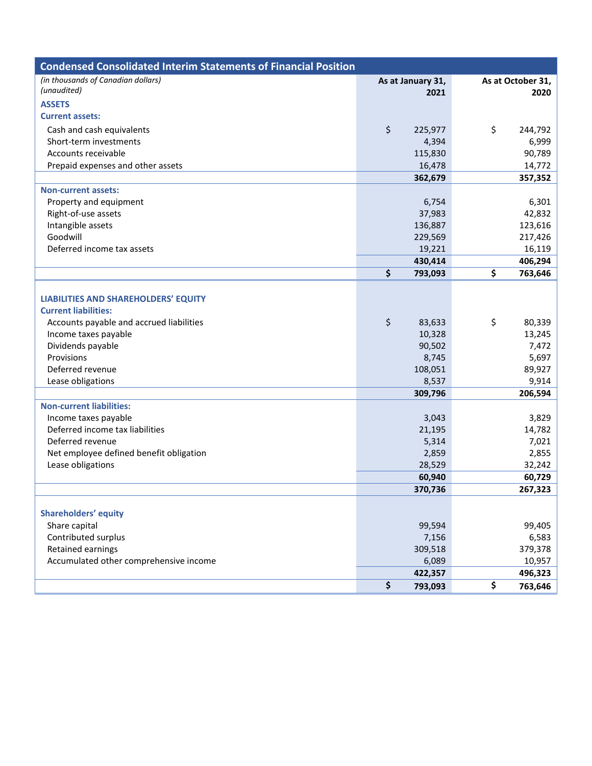| <b>Condensed Consolidated Interim Statements of Financial Position</b> |                   |                   |
|------------------------------------------------------------------------|-------------------|-------------------|
| (in thousands of Canadian dollars)                                     | As at January 31, | As at October 31, |
| (unaudited)                                                            | 2021              | 2020              |
| <b>ASSETS</b>                                                          |                   |                   |
| <b>Current assets:</b>                                                 |                   |                   |
| Cash and cash equivalents                                              | \$<br>225,977     | \$<br>244,792     |
| Short-term investments                                                 | 4,394             | 6,999             |
| Accounts receivable                                                    | 115,830           | 90,789            |
| Prepaid expenses and other assets                                      | 16,478            | 14,772            |
|                                                                        | 362,679           | 357,352           |
| <b>Non-current assets:</b>                                             |                   |                   |
| Property and equipment                                                 | 6,754             | 6,301             |
| Right-of-use assets                                                    | 37,983            | 42,832            |
| Intangible assets                                                      | 136,887           | 123,616           |
| Goodwill                                                               | 229,569           | 217,426           |
| Deferred income tax assets                                             | 19,221            | 16,119            |
|                                                                        | 430,414           | 406,294           |
|                                                                        | \$<br>793,093     | \$<br>763,646     |
|                                                                        |                   |                   |
| <b>LIABILITIES AND SHAREHOLDERS' EQUITY</b>                            |                   |                   |
| <b>Current liabilities:</b>                                            |                   |                   |
| Accounts payable and accrued liabilities                               | \$<br>83,633      | \$<br>80,339      |
| Income taxes payable                                                   | 10,328            | 13,245            |
| Dividends payable                                                      | 90,502            | 7,472             |
| Provisions                                                             | 8,745             | 5,697             |
| Deferred revenue                                                       | 108,051           | 89,927            |
| Lease obligations                                                      | 8,537             | 9,914             |
|                                                                        | 309,796           | 206,594           |
| <b>Non-current liabilities:</b>                                        |                   |                   |
| Income taxes payable                                                   | 3,043             | 3,829             |
| Deferred income tax liabilities                                        | 21,195            | 14,782            |
| Deferred revenue                                                       | 5,314             | 7,021             |
| Net employee defined benefit obligation                                | 2,859             | 2,855             |
| Lease obligations                                                      | 28,529            | 32,242            |
|                                                                        | 60,940            | 60,729            |
|                                                                        | 370,736           | 267,323           |
|                                                                        |                   |                   |
| <b>Shareholders' equity</b><br>Share capital                           | 99,594            | 99,405            |
| Contributed surplus                                                    | 7,156             | 6,583             |
| Retained earnings                                                      | 309,518           | 379,378           |
| Accumulated other comprehensive income                                 | 6,089             | 10,957            |
|                                                                        | 422,357           | 496,323           |
|                                                                        | \$<br>793,093     | \$<br>763,646     |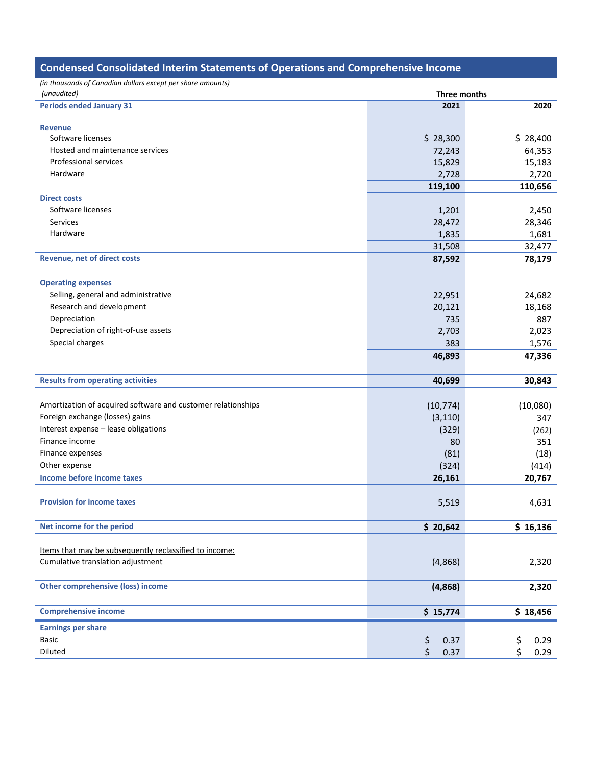|                                                                           | <b>Condensed Consolidated Interim Statements of Operations and Comprehensive Income</b> |  |  |  |  |  |  |  |
|---------------------------------------------------------------------------|-----------------------------------------------------------------------------------------|--|--|--|--|--|--|--|
| (in thousands of Canadian dollars except per share amounts)               |                                                                                         |  |  |  |  |  |  |  |
| (unaudited)<br>Three months                                               |                                                                                         |  |  |  |  |  |  |  |
| <b>Periods ended January 31</b><br>2021                                   | 2020                                                                                    |  |  |  |  |  |  |  |
|                                                                           |                                                                                         |  |  |  |  |  |  |  |
| <b>Revenue</b>                                                            |                                                                                         |  |  |  |  |  |  |  |
| Software licenses<br>\$28,300                                             | \$28,400                                                                                |  |  |  |  |  |  |  |
| Hosted and maintenance services<br>72,243                                 | 64,353                                                                                  |  |  |  |  |  |  |  |
| Professional services<br>15,829                                           | 15,183                                                                                  |  |  |  |  |  |  |  |
| Hardware<br>2,728                                                         | 2,720                                                                                   |  |  |  |  |  |  |  |
| 119,100                                                                   | 110,656                                                                                 |  |  |  |  |  |  |  |
| <b>Direct costs</b>                                                       |                                                                                         |  |  |  |  |  |  |  |
| Software licenses<br>1,201                                                | 2,450                                                                                   |  |  |  |  |  |  |  |
| <b>Services</b><br>28,472                                                 | 28,346                                                                                  |  |  |  |  |  |  |  |
| Hardware<br>1,835                                                         | 1,681                                                                                   |  |  |  |  |  |  |  |
| 31,508                                                                    | 32,477                                                                                  |  |  |  |  |  |  |  |
| <b>Revenue, net of direct costs</b><br>87,592                             | 78,179                                                                                  |  |  |  |  |  |  |  |
|                                                                           |                                                                                         |  |  |  |  |  |  |  |
| <b>Operating expenses</b>                                                 |                                                                                         |  |  |  |  |  |  |  |
| Selling, general and administrative<br>22,951                             | 24,682                                                                                  |  |  |  |  |  |  |  |
| Research and development<br>20,121                                        | 18,168                                                                                  |  |  |  |  |  |  |  |
| 735<br>Depreciation                                                       | 887                                                                                     |  |  |  |  |  |  |  |
| Depreciation of right-of-use assets<br>2,703                              | 2,023                                                                                   |  |  |  |  |  |  |  |
| Special charges<br>383                                                    | 1,576                                                                                   |  |  |  |  |  |  |  |
| 46,893                                                                    | 47,336                                                                                  |  |  |  |  |  |  |  |
|                                                                           |                                                                                         |  |  |  |  |  |  |  |
| <b>Results from operating activities</b><br>40,699                        | 30,843                                                                                  |  |  |  |  |  |  |  |
|                                                                           |                                                                                         |  |  |  |  |  |  |  |
| Amortization of acquired software and customer relationships<br>(10, 774) | (10,080)                                                                                |  |  |  |  |  |  |  |
| Foreign exchange (losses) gains<br>(3, 110)                               | 347                                                                                     |  |  |  |  |  |  |  |
| Interest expense - lease obligations<br>(329)                             |                                                                                         |  |  |  |  |  |  |  |
| Finance income<br>80                                                      | (262)<br>351                                                                            |  |  |  |  |  |  |  |
| Finance expenses<br>(81)                                                  |                                                                                         |  |  |  |  |  |  |  |
| Other expense                                                             | (18)                                                                                    |  |  |  |  |  |  |  |
| (324)<br>Income before income taxes                                       | (414)                                                                                   |  |  |  |  |  |  |  |
| 26,161                                                                    | 20,767                                                                                  |  |  |  |  |  |  |  |
|                                                                           |                                                                                         |  |  |  |  |  |  |  |
| <b>Provision for income taxes</b><br>5,519                                | 4,631                                                                                   |  |  |  |  |  |  |  |
|                                                                           |                                                                                         |  |  |  |  |  |  |  |
| Net income for the period<br>\$20,642                                     | \$16,136                                                                                |  |  |  |  |  |  |  |
|                                                                           |                                                                                         |  |  |  |  |  |  |  |
| Items that may be subsequently reclassified to income:                    |                                                                                         |  |  |  |  |  |  |  |
| Cumulative translation adjustment<br>(4,868)                              | 2,320                                                                                   |  |  |  |  |  |  |  |
|                                                                           |                                                                                         |  |  |  |  |  |  |  |
| <b>Other comprehensive (loss) income</b><br>(4,868)                       | 2,320                                                                                   |  |  |  |  |  |  |  |
|                                                                           |                                                                                         |  |  |  |  |  |  |  |
| <b>Comprehensive income</b><br>\$15,774                                   | \$18,456                                                                                |  |  |  |  |  |  |  |
| <b>Earnings per share</b>                                                 |                                                                                         |  |  |  |  |  |  |  |
|                                                                           | 0.29                                                                                    |  |  |  |  |  |  |  |
| <b>Basic</b><br>\$<br>\$<br>0.37                                          |                                                                                         |  |  |  |  |  |  |  |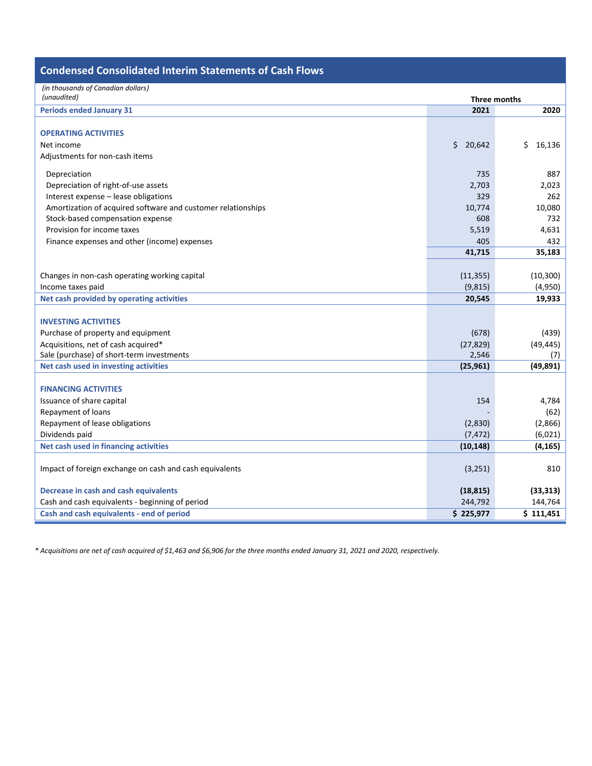| <b>Condensed Consolidated Interim Statements of Cash Flows</b> |              |              |  |
|----------------------------------------------------------------|--------------|--------------|--|
| (in thousands of Canadian dollars)                             |              |              |  |
| (unaudited)                                                    | Three months |              |  |
| <b>Periods ended January 31</b>                                | 2021         | 2020         |  |
|                                                                |              |              |  |
| <b>OPERATING ACTIVITIES</b>                                    |              |              |  |
| Net income                                                     | \$<br>20,642 | \$<br>16,136 |  |
| Adjustments for non-cash items                                 |              |              |  |
| Depreciation                                                   | 735          | 887          |  |
| Depreciation of right-of-use assets                            | 2,703        | 2,023        |  |
| Interest expense - lease obligations                           | 329          | 262          |  |
| Amortization of acquired software and customer relationships   | 10,774       | 10,080       |  |
| Stock-based compensation expense                               | 608          | 732          |  |
| Provision for income taxes                                     | 5,519        | 4,631        |  |
| Finance expenses and other (income) expenses                   | 405          | 432          |  |
|                                                                | 41,715       | 35,183       |  |
|                                                                |              |              |  |
| Changes in non-cash operating working capital                  | (11, 355)    | (10, 300)    |  |
| Income taxes paid                                              | (9, 815)     | (4,950)      |  |
| Net cash provided by operating activities                      | 20,545       | 19,933       |  |
|                                                                |              |              |  |
| <b>INVESTING ACTIVITIES</b>                                    |              |              |  |
| Purchase of property and equipment                             | (678)        | (439)        |  |
| Acquisitions, net of cash acquired*                            | (27, 829)    | (49, 445)    |  |
| Sale (purchase) of short-term investments                      | 2,546        | (7)          |  |
| Net cash used in investing activities                          | (25, 961)    | (49, 891)    |  |
|                                                                |              |              |  |
| <b>FINANCING ACTIVITIES</b>                                    |              |              |  |
| Issuance of share capital                                      | 154          | 4,784        |  |
| Repayment of loans                                             |              | (62)         |  |
| Repayment of lease obligations                                 | (2,830)      | (2,866)      |  |
| Dividends paid                                                 | (7, 472)     | (6,021)      |  |
| Net cash used in financing activities                          | (10, 148)    | (4, 165)     |  |
|                                                                |              |              |  |
| Impact of foreign exchange on cash and cash equivalents        | (3, 251)     | 810          |  |
| Decrease in cash and cash equivalents                          | (18, 815)    | (33, 313)    |  |
|                                                                |              |              |  |
| Cash and cash equivalents - beginning of period                | 244,792      | 144,764      |  |
| Cash and cash equivalents - end of period                      | \$225,977    | \$111,451    |  |

*\* Acquisitions are net of cash acquired of \$1,463 and \$6,906 for the three months ended January 31, 2021 and 2020, respectively.*